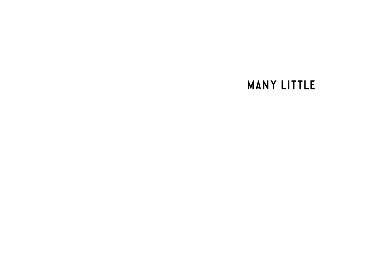**MANY LITTLE**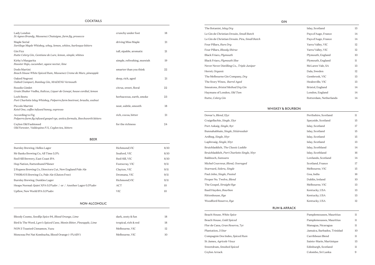# **COCKTAILS**

| Lady London<br>St Agnes Brandy, Massenez Chataigne, farm fig, prosecco                        | crunchy under foot          | 18 |
|-----------------------------------------------------------------------------------------------|-----------------------------|----|
| Maple Serial<br>Sortilege Maple Whiskey, whey, lemon, whites, burlesque bitters               | driving Miss Maple          | 21 |
| Gin Fizz<br>Rutte Celery Gin, Gentiane de Lure, lemon, simple, whites                         | tall, sipable, aromatic     | 21 |
| Kirby's Margarita<br>Rooster Rojo, cucumber, agave nectar, lime                               | simple, refreshing, moreish | 19 |
| Dodo Martini<br>Beach House White Spiced Rum, Massenez Creme de Mure, pineapple               | smarter than you think      | 22 |
| Oaked Negroni<br>Oaked Campari, Bombay Gin, MAiDENii Vermouth                                 | deep, rich, aged            | 21 |
| Rosolio Gimlet<br>Grain Shaker Vodka, Italicus, Liquer de Genepi, house cordial, lemon        | citrus, sweet, floral       | 22 |
| <b>Loch Beets</b><br>Port Charlotte Islay Whiskey, Polperro farm beetroot, braulio, walnut    | herbaceous, earth, smoke    | 23 |
| Piccolo Martini<br>Ketel One, coffee infused honey, espresso                                  | neat, subtle, smooth        | 18 |
| According to Fig.<br>Polperro farm fig infused gospel rye, antica formula, Beechworth bitters | rich, cocoa, bitter         | 21 |
| Ceylon Old Fashioned<br>Old Forester, Valdespino P.X, Ceylon tea, bitters                     | for the richness            | 24 |

| <b>BEER</b>                                                    |                |      |
|----------------------------------------------------------------|----------------|------|
| Burnley Brewing, Helles Lager                                  | Richmond, VIC  | 8/10 |
| Mr Banks Brewing Co, All Time 3.5%                             | Seaford, VIC   | 8/10 |
| Red Hill Brewery, East Coast IPA                               | Red Hill, VIC  | 8/10 |
| Hop Nation, Rattenhund Pilsner                                 | Footscray, VIC | 9/11 |
| 2 Rupees Brewing Co, Directors Cut, New England Pale Ale       | Clayton, VIC   | 9/11 |
| TWØBAYS Brewing Co, Pale Ale (Gluten Free)                     | Dromana, VIC   | 9/11 |
| Burnley Brewing, Dunkles Lager                                 | Richmond, VIC  | 9/11 |
| Heaps Normal: Quiet XPA 0.5% aby / or / Another Lager 0.5% aby | ACT            | 10   |
| Upflow, New World IPA 0.5% abv                                 | <b>VIC</b>     | 10   |

# NON-ALCOHOLIC

| Bloody Cosmo, Seedlip Spice 94, Blood Orange, Lime                  | dark, zesty & fun    | 18 |
|---------------------------------------------------------------------|----------------------|----|
| Bird Is The Word, Lyre's Spiced Cane, Monin Bitter, Pineapple, Lime | tropical, rich & red | 18 |
| NON 3 Toasted Cinnamon, Yuzu                                        | Melbourne, VIC       | 12 |
| Monceau Pet Nat Kombucha, Blood Orange (~1%ABV)                     | Melbourne, VIC       | 10 |

## GIN

| Islay, Scotland        | 13          |
|------------------------|-------------|
| Pays d'Auge, France    | 14          |
| Pays d'Auge, France    | 14          |
| Yarra Valley, VIC      | 12          |
| Yarra Valley, VIC      | 12          |
| Plymouth, England      | 10          |
| Plymouth, England      | $_{\rm ll}$ |
| McLaren Vale, SA       | 13          |
| Dala, Sweden           | 12          |
| Gembrook, VIC          | 13          |
| Healesville, VIC       | 13          |
| Bristol, England       | 14          |
| London, England        | 14          |
| Rotterdam, Netherlands | 14          |

| The Botanist, Islay Dry                       | Islay, Scotland        | 13          |
|-----------------------------------------------|------------------------|-------------|
| Le Gin de Christian Drouin, Small Batch       | Pays d'Auge, France    | 14          |
| Le Gin de Christian Drouin. Pira, Small Batch | Pays d'Auge, France    | 14          |
| Four Pillars, Rare Dry                        | Yarra Valley, VIC      | 12          |
| Four Pillars, Bloody Shiraz                   | Yarra Valley, VIC      | 12          |
| Black Friars, Plymouth                        | Plymouth, England      | 10          |
| Black Friars, Plymouth Sloe                   | Plymouth, England      | $_{\rm ll}$ |
| Never Never Distilling Co., Triple Juniper    | McLaren Vale, SA       | 13          |
| Hernö, Organic                                | Dala, Sweden           | 12          |
| The Melbourne Gin Company, Dry                | Gembrook, VIC          | 13          |
| The Story Wines, Barrel Aged                  | Healesville, VIC       | 13          |
| Smeatons, Bristol Method Dry Gin              | Bristol, England       | 14          |
| Haymans of London, Old Tom                    | London, England        | 14          |
| Rutte, Celery Gin                             | Rotterdam, Netherlands | 14          |

## WHISKEY & BOURBON

| Dewar's, Blend, 12yr                       | Perthshire, Scotland | $_{\rm ll}$ |
|--------------------------------------------|----------------------|-------------|
| Craigellachie, Single, 13yr                | Speyside, Scotland   | 15          |
| Port Askaig, Single, 8yr                   | Islay, Scotland      | 17          |
| Bunnahabhain, <i>Single, Stiùireadair</i>  | Islay, Scotland      | 15          |
| Ardbeg, Single, 10yr                       | Islay, Scotland      | 15          |
| Laphroaig, Single, 10yr                    | Islay, Scotland      | 13          |
| Bruichladdich, <i>The Classic Laddie</i>   | Islay, Scothland     | 14          |
| Bruichladdich, Port Charlotte Single, 10yr | Islay, Scothland     | 16          |
| Baldnoch, Samsara                          | Lowlands, Scotland   | 14          |
| Michel Couvreur, Blend, Overaged           | Scotland, France     | 17          |
| Starward, <i>Solera, Single</i>            | Melbourne, VIC       | 15          |
| Paul John, Single, Peated                  | Goa, India           | 16          |
| Proper No. Twelve, Blend                   | Dublin, Ireland      | 10          |
| The Gospel, Straight Rye                   | Melbourne, VIC       | 13          |
| Basil Hayden, Bourbon                      | Kentucky, USA        | 13          |
| Rittenhouse, Rye                           | Kentucky, USA        | 13          |
| Woodford Reserve, Rye                      | Kentucky, USA        | 12          |

| Dewar's, <i>Blend</i> , 12yr               | Perthshire, Scotland | $\pm$ |
|--------------------------------------------|----------------------|-------|
| Craigellachie, Single, 13yr                | Speyside, Scotland   | 15    |
| Port Askaig, Single, 8yr                   | Islay, Scotland      | 17    |
| Bunnahabhain, Single, Stiùireadair         | Islay, Scotland      | 15    |
| Ardbeg, Single, 10yr                       | Islay, Scotland      | 15    |
| Laphroaig, Single, 10yr                    | Islay, Scotland      | 13    |
| Bruichladdich, The Classic Laddie          | Islay, Scothland     | 14    |
| Bruichladdich, Port Charlotte Single, 10yr | Islay, Scothland     | 16    |
| Baldnoch, Samsara                          | Lowlands, Scotland   | 14    |
| Michel Couvreur, Blend, Overaged           | Scotland, France     | 17    |
| Starward, Solera, Single                   | Melbourne, VIC       | 15    |
| Paul John, Single, Peated                  | Goa, India           | 16    |
| Proper No. Twelve, Blend                   | Dublin, Ireland      | 10    |
| The Gospel, Straight Rye                   | Melbourne, VIC       | 13    |
| Basil Hayden, Bourbon                      | Kentucky, USA        | 13    |
| Rittenhouse, Rye                           | Kentucky, USA        | 13    |
| Woodford Reserve, Rye                      | Kentucky, USA        | 12    |
|                                            |                      |       |

#### RUM & ARRACK

| Pamplemousses, Mauritius    | 11 |
|-----------------------------|----|
| Pamplemousses, Mauritius    | 11 |
| Managua, Nicaragua          | П  |
| Jamaica, Barbados, Trinidad | 10 |
| Carribbean Blend            | 11 |
| Sainte-Marie, Martinique    | 13 |
| Edinburgh, Scotland         | П  |
| Colombo, Sri Lanka          |    |

| Beach House, White Spice                | Pamplemousses, Mauritius    | 11 |
|-----------------------------------------|-----------------------------|----|
| Beach House, Gold Spiced                | Pamplemousses, Mauritius    | 11 |
| Flor de Cana, <i>Gran Reserva</i> , 7yr | Managua, Nicaragua          | 11 |
| Plantation, 3 Star                      | Jamaica, Barbados, Trinidad | 10 |
| Compagnie Des Indes, Spiced Rum         | Carribbean Blend            | 11 |
| St James, <i>Agricole Vieux</i>         | Sainte-Marie, Martinique    | 13 |
| Sweetdram, <i>Smoked Spiced</i>         | Edinburgh, Scotland         | 11 |
| Ceylon Arrack                           | Colombo, Sri Lanka          | 9  |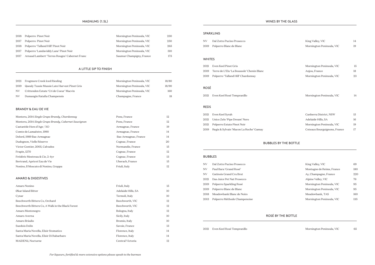## WINES BY THE GLASS

## SPARKLING

| NV. | Dal Zotto Pucino Prosecco    |
|-----|------------------------------|
|     | 2019 Polperro Blanc de Blanc |

#### WHITES

| 2021 | Even Keel Pinot Gris                      | Mornington Peninsula, VIC | 15 |
|------|-------------------------------------------|---------------------------|----|
| 2019 | Terre de L'Elu 'La Boussole' Chenin Blanc | Anjou, France             | 18 |
| 2019 | Polperro 'Talland Hill' Chardonnay        | Mornington Peninsula, VIC | 23 |
|      |                                           |                           |    |

| NV            | Dal Zotto Pucino Prosecco                 | King Valley, VIC             | 14 |
|---------------|-------------------------------------------|------------------------------|----|
| 2019          | Polperro Blanc de Blanc                   | Mornington Peninsula, VIC    | 19 |
|               |                                           |                              |    |
| <b>WHITES</b> |                                           |                              |    |
| 2021          | Even Keel Pinot Gris                      | Mornington Peninsula, VIC    | 15 |
| 2019          | Terre de L'Elu 'La Boussole' Chenin Blanc | Anjou, France                | 18 |
| 2019          | Polperro 'Talland Hill' Chardonnay        | Mornington Peninsula, VIC    | 23 |
|               |                                           |                              |    |
| ROSÉ          |                                           |                              |    |
| 2021          | Even Keel Rosé Tempranillo                | Mornington Peninsula, VIC    | 14 |
|               |                                           |                              |    |
| <b>REDS</b>   |                                           |                              |    |
| 2021          | Even Keel Syrah                           | Canberra District, NSW       | 15 |
|               |                                           |                              |    |
| 2021          | Unico Zelo 'Pipe Dream' Nero              | Adelaide Hills, SA           | 16 |
| 2021          | Polperro Estate Pinot Noir                | Mornington Peninsula, VIC    | 19 |
| 2019          | Regis & Sylvain 'Macon La Roche' Gamay    | Coteaux Bourguignons, France | 17 |
|               |                                           |                              |    |

| King Valley, VIC          | 69  |
|---------------------------|-----|
| Montagne de Reims, France | 180 |
| Ay, Champagne, France     | 220 |
| Alpine Valley, VIC        | 76  |
| Mornington Peninsula, VIC | 95  |
| Mornington Peninsula, VIC | 95  |
| Meadowbank, TAS           | 160 |
| Mornington Peninsula, VIC | 135 |

### ROSÉ

### REDS

| 2021 Even Keel Syrah                        |
|---------------------------------------------|
| 2021 Unico Zelo 'Pipe Dream' Nero           |
| 2021 Polperro Estate Pinot Noir             |
| 2019 Regis & Sylvain 'Macon La Roche' Gamay |

# BUBBLES BY THE BOTTLE

### BUBBLES

| <b>NV</b> | Dal Zotto Pucino Prosecco    | King Valley, VIC          | 69  |
|-----------|------------------------------|---------------------------|-----|
| <b>NV</b> | Paul Bara 'Grand Rosé'       | Montagne de Reims, France | 180 |
| <b>NV</b> | Gatinois Grand Cru Brut      | Ay, Champagne, France     | 220 |
| 2021      | Das Juice Pet Nat Prosecco   | Alpine Valley, VIC        | 76  |
| 2019      | Polperro Sparkling Rosé      | Mornington Peninsula, VIC | 95  |
| 2019      | Polperro Blanc de Blanc      | Mornington Peninsula, VIC | 95  |
| 2018      | Meadowbank Blanc de Noirs    | Meadowbank, TAS           | 160 |
| 2013      | Polperro Méthode Champenoise | Mornington Peninsula, VIC | 135 |
|           |                              |                           |     |

#### ROSÉ BY THE BOTTLE

2021 Even Keel Rosé Tempranillo *and a serie a morto serie a Mornington Peninsula, VIC* 65

| Polperro Pinot Noir                           | Mornington Peninsula, VIC | 230 |
|-----------------------------------------------|---------------------------|-----|
| Polperro Pinot Noir                           | Mornington Peninsula, VIC | 250 |
| Polperro 'Talland Hill' Pinot Noir            | Mornington Peninsula, VIC | 265 |
| Polperro 'Landaviddy Lane' Pinot Noir         | Mornington Peninsula, VIC | 310 |
| Arnaud Lambert 'Terres Rouges' Cabernet Franc | Saumur Champigny, France  | 175 |
|                                               |                           |     |

## A LITTLE SIP TO FINISH

| 2021      | Frogmore Creek Iced Riesling                 | Mornington Peninsula, VIC | 18/80 |
|-----------|----------------------------------------------|---------------------------|-------|
| 2019      | Quealy Tussie Mussie Late Harvest Pinot Gris | Mornington Peninsula, VIC | 18/90 |
| NV.       | Crittenden Estate 'Cri de Coeur' Macvin      | Mornington Peninsula, VIC | 160   |
| <b>NV</b> | Dumangin Ratafia Champenois                  | Champagne, France         | 18    |

### BRANDY & EAU DE VIE

| Monteru, 2014 Single Grape Brandy, Chardonnay         | Pons, France         | 12     |
|-------------------------------------------------------|----------------------|--------|
| Monteru, 2014 Single Grape Brandy, Cabernet Sauvignon | Pons, France         | 12     |
| Castaréde Hors d'Age / XO                             | Armagnac, France     | 19     |
| Comte de Lamaëstre, 1990                              | Armagnac, France     | 14     |
| Delord, 1989 Bas-Armagnac                             | Bas-Armagnac, France | 14     |
| Dudognon, Vielle Réserve                              | Cognac, France       | 20     |
| Victor Gontier, 2005, Calvados                        | Normandie, France    | 15     |
| Frapin, 1270                                          | Cognac, France       | 12     |
| Frédéric Mestreau & Cie, 2-4yr                        | Cognac, France       | 13     |
| Bertrand, Apricot Eau de Vie                          | Uberach, France      | $15\,$ |
| Nonino, Il Moscato di Nonino, Grappa                  | Friuli, Italy        | 12     |

## AMARO & DIGESTIVES

| Amaro Nonino                                      | Friuli, Italy      | 15 |
|---------------------------------------------------|--------------------|----|
| Økar Island Bitter                                | Adelaide Hills, SA | 10 |
| Cynar                                             | Termoli, Italy     | 10 |
| Beechworth Bitters Co, Orchard                    | Beechworth, VIC    | 12 |
| Beechworth Bitters Co, A Walk in the Black Forest | Beechworth, VIC    | 12 |
| Amaro Montenegro                                  | Bologna, Italy     | 12 |
| Amaro Averna                                      | Sicily, Italy      | 10 |
| Amaro Bràulio                                     | Bromio, Italy      | 10 |
| Suedois Dolin                                     | Savoie, France     | 13 |
| Santa Maria Novella, Elisir Stomatico             | Florence, Italy    | 14 |
| Santa Maria Novella, Elisir Di Rabarbaro          | Florence, Italy    | 14 |
| MAiDENii, Nocturne                                | Central Victoria   | 12 |